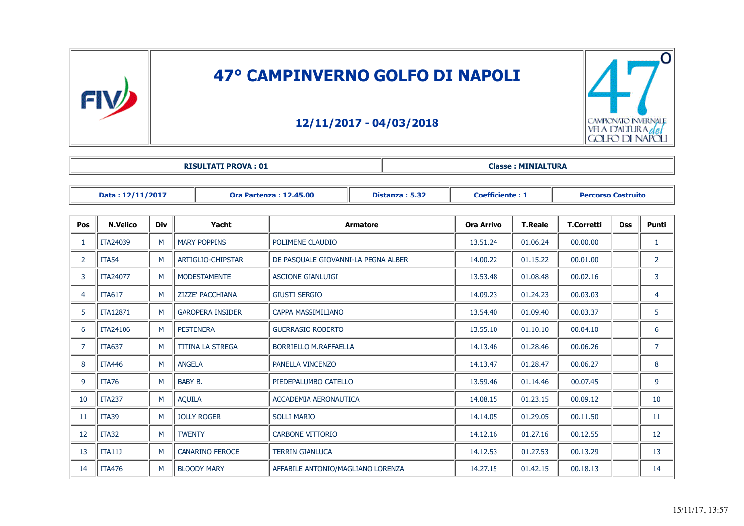

## **47° CAMPINVERNO GOLFO DI NAPOLI**

## **12/11/2017 - 04/03/2018**



| <b>RISULTATI PROVA: 01</b> | <b>Classe: MINIALTURA</b> |
|----------------------------|---------------------------|
|----------------------------|---------------------------|

| Data: 12/11/2017                              |                   |                 |                         | <b>Ora Partenza: 12.45.00</b> | Distanza: 5.32                      | <b>Coefficiente: 1</b> |            | <b>Percorso Costruito</b> |          |  |                |
|-----------------------------------------------|-------------------|-----------------|-------------------------|-------------------------------|-------------------------------------|------------------------|------------|---------------------------|----------|--|----------------|
| <b>N.Velico</b><br><b>Div</b><br>Yacht<br>Pos |                   | <b>Armatore</b> |                         | <b>Ora Arrivo</b>             | <b>T.Reale</b>                      | <b>T.Corretti</b>      | <b>Oss</b> | Punti                     |          |  |                |
|                                               | ITA24039          | M               | <b>MARY POPPINS</b>     |                               | POLIMENE CLAUDIO                    |                        | 13.51.24   | 01.06.24                  | 00.00.00 |  | 1              |
| $\overline{2}$                                | ITA <sub>54</sub> | M               | ARTIGLIO-CHIPSTAR       |                               | DE PASQUALE GIOVANNI-LA PEGNA ALBER |                        | 14.00.22   | 01.15.22                  | 00.01.00 |  | $\overline{2}$ |
| 3                                             | <b>ITA24077</b>   | м               | <b>MODESTAMENTE</b>     |                               | <b>ASCIONE GIANLUIGI</b>            |                        | 13.53.48   | 01.08.48                  | 00.02.16 |  | 3              |
| $\overline{4}$                                | <b>ITA617</b>     | M               | ZIZZE' PACCHIANA        |                               | <b>GIUSTI SERGIO</b>                |                        | 14.09.23   | 01.24.23                  | 00.03.03 |  | 4              |
| 5                                             | <b>ITA12871</b>   | M               | <b>GAROPERA INSIDER</b> |                               | CAPPA MASSIMILIANO                  |                        | 13.54.40   | 01.09.40                  | 00.03.37 |  | 5              |
| 6                                             | ITA24106          | M               |                         | <b>PESTENERA</b>              | <b>GUERRASIO ROBERTO</b>            |                        | 13.55.10   | 01.10.10                  | 00.04.10 |  | 6              |
| $\overline{7}$                                | <b>ITA637</b>     | M               | <b>TITINA LA STREGA</b> |                               | <b>BORRIELLO M.RAFFAELLA</b>        |                        | 14.13.46   | 01.28.46                  | 00.06.26 |  | $\overline{7}$ |
| 8                                             | <b>ITA446</b>     | M               | <b>ANGELA</b>           |                               | PANELLA VINCENZO                    |                        | 14.13.47   | 01.28.47                  | 00.06.27 |  | 8              |
| 9                                             | <b>ITA76</b>      | M               | BABY B.                 |                               | PIEDEPALUMBO CATELLO                |                        | 13.59.46   | 01.14.46                  | 00.07.45 |  | 9              |
| 10                                            | <b>ITA237</b>     | M               | <b>AQUILA</b>           |                               | ACCADEMIA AERONAUTICA               |                        | 14.08.15   | 01.23.15                  | 00.09.12 |  | 10             |
| 11                                            | ITA39             | M               |                         | <b>JOLLY ROGER</b>            | <b>SOLLI MARIO</b>                  |                        | 14.14.05   | 01.29.05                  | 00.11.50 |  | 11             |
| 12                                            | ITA32             | M               | <b>TWENTY</b>           |                               | <b>CARBONE VITTORIO</b>             |                        | 14.12.16   | 01.27.16                  | 00.12.55 |  | 12             |
| 13                                            | <b>ITA11J</b>     | M               |                         | <b>CANARINO FEROCE</b>        | <b>TERRIN GIANLUCA</b>              |                        | 14.12.53   | 01.27.53                  | 00.13.29 |  | 13             |
| 14                                            | <b>ITA476</b>     | M               |                         | <b>BLOODY MARY</b>            | AFFABILE ANTONIO/MAGLIANO LORENZA   |                        | 14.27.15   | 01.42.15                  | 00.18.13 |  | 14             |